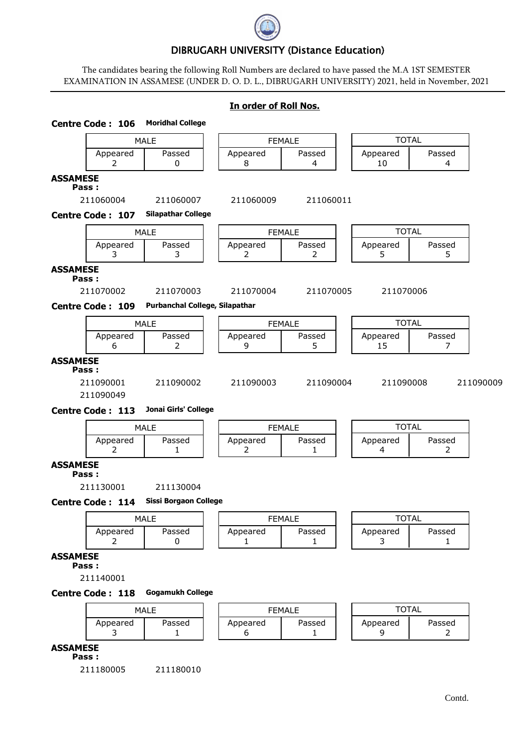

# DIBRUGARH UNIVERSITY (Distance Education)

The candidates bearing the following Roll Numbers are declared to have passed the M.A 1ST SEMESTER EXAMINATION IN ASSAMESE (UNDER D. O. D. L., DIBRUGARH UNIVERSITY) 2021, held in November, 2021

## **In order of Roll Nos.**

|                 | <b>Centre Code: 106</b> | <b>Moridhal College</b>        |               |                          |                |                          |           |
|-----------------|-------------------------|--------------------------------|---------------|--------------------------|----------------|--------------------------|-----------|
|                 |                         | <b>MALE</b>                    | <b>FEMALE</b> |                          | <b>TOTAL</b>   |                          |           |
|                 | Appeared<br>2           | Passed<br>0                    | Appeared<br>8 | Passed<br>$\overline{4}$ | Appeared<br>10 | Passed<br>4              |           |
| <b>ASSAMESE</b> | Pass:                   |                                |               |                          |                |                          |           |
|                 | 211060004               | 211060007                      | 211060009     | 211060011                |                |                          |           |
|                 | <b>Centre Code: 107</b> | <b>Silapathar College</b>      |               |                          |                |                          |           |
|                 |                         | <b>MALE</b>                    | <b>FEMALE</b> |                          | <b>TOTAL</b>   |                          |           |
|                 | Appeared<br>3           | Passed<br>3                    | Appeared<br>2 | Passed<br>$\overline{2}$ | Appeared<br>5  | Passed<br>5              |           |
| <b>ASSAMESE</b> | Pass:                   |                                |               |                          |                |                          |           |
|                 | 211070002               | 211070003                      | 211070004     | 211070005                | 211070006      |                          |           |
|                 | <b>Centre Code: 109</b> | Purbanchal College, Silapathar |               |                          |                |                          |           |
|                 |                         | <b>MALE</b>                    | <b>FEMALE</b> |                          | <b>TOTAL</b>   |                          |           |
|                 | Appeared<br>6           | Passed<br>$\overline{2}$       | Appeared<br>9 | Passed<br>5.             | Appeared<br>15 | Passed<br>7              |           |
| <b>ASSAMESE</b> | Pass:                   |                                |               |                          |                |                          |           |
|                 | 211090001<br>211090049  | 211090002                      | 211090003     | 211090004                | 211090008      |                          | 211090009 |
|                 | <b>Centre Code: 113</b> | Jonai Girls' College           |               |                          |                |                          |           |
|                 |                         | <b>MALE</b>                    | <b>FEMALE</b> |                          | <b>TOTAL</b>   |                          |           |
|                 | Appeared<br>2           | Passed<br>1                    | Appeared<br>2 | Passed<br>1              | Appeared<br>4  | Passed<br>2              |           |
| <b>ASSAMESE</b> | Pass:                   |                                |               |                          |                |                          |           |
|                 | 211130001               | 211130004                      |               |                          |                |                          |           |
|                 | <b>Centre Code: 114</b> | <b>Sissi Borgaon College</b>   |               |                          |                |                          |           |
|                 |                         | <b>MALE</b>                    | <b>FEMALE</b> |                          | <b>TOTAL</b>   |                          |           |
|                 | Appeared<br>2           | Passed<br>0                    | Appeared<br>1 | Passed<br>1              | Appeared<br>3  | Passed<br>1              |           |
| <b>ASSAMESE</b> |                         |                                |               |                          |                |                          |           |
|                 | Pass:<br>211140001      |                                |               |                          |                |                          |           |
|                 | <b>Centre Code: 118</b> | <b>Gogamukh College</b>        |               |                          |                |                          |           |
|                 |                         | <b>MALE</b>                    |               | <b>FEMALE</b>            | <b>TOTAL</b>   |                          |           |
|                 | Appeared<br>3           | Passed<br>$\mathbf{1}$         | Appeared<br>6 | Passed<br>1              | Appeared<br>9  | Passed<br>$\overline{2}$ |           |
| <b>ASSAMESE</b> |                         |                                |               |                          |                |                          |           |
|                 | Pass:<br>211180005      | 211180010                      |               |                          |                |                          |           |
|                 |                         |                                |               |                          |                |                          |           |
|                 |                         |                                |               |                          |                | Contd.                   |           |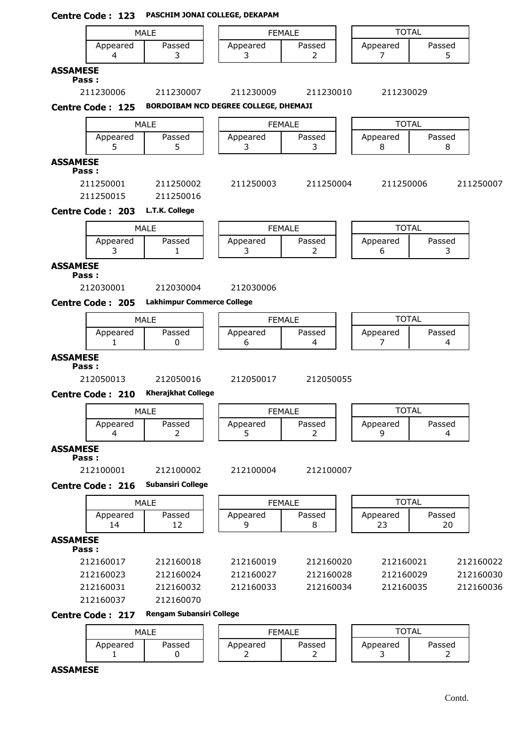|                          | Centre Code: 123        |                                                | PASCHIM JONAI COLLEGE, DEKAPAM        |                              |   |                |              |           |
|--------------------------|-------------------------|------------------------------------------------|---------------------------------------|------------------------------|---|----------------|--------------|-----------|
|                          |                         | <b>MALE</b>                                    |                                       | <b>FFMAIF</b>                |   | <b>TOTAL</b>   |              |           |
|                          | Appeared<br>4           | Passed<br>3                                    | Appeared<br>3                         | Passed<br>$\overline{2}$     |   | Appeared<br>7  | Passed<br>5  |           |
| <b>ASSAMESE</b><br>Pass: |                         |                                                |                                       |                              |   |                |              |           |
|                          | 211230006               | 211230007                                      | 211230009                             | 211230010                    |   | 211230029      |              |           |
|                          | <b>Centre Code: 125</b> |                                                | BORDOIBAM NCD DEGREE COLLEGE, DHEMAJI |                              |   |                |              |           |
|                          |                         | <b>MALE</b>                                    |                                       | <b>FEMALE</b>                |   | <b>TOTAL</b>   |              |           |
|                          | Appeared<br>5           | Passed<br>5                                    | Appeared<br>3                         | Passed<br>3                  |   | Appeared<br>8  | Passed<br>8  |           |
| <b>ASSAMESE</b><br>Pass: |                         |                                                |                                       |                              |   |                |              |           |
|                          | 211250001<br>211250015  | 211250002<br>211250016                         | 211250003                             | 211250004                    |   | 211250006      |              | 211250007 |
|                          | <b>Centre Code: 203</b> | L.T.K. College                                 |                                       |                              |   |                |              |           |
|                          |                         | <b>MALE</b>                                    |                                       |                              |   | <b>TOTAL</b>   |              |           |
|                          | Appeared<br>3           | Passed<br>1                                    | Appeared<br>3                         | <b>FEMALE</b><br>Passed<br>2 |   | Appeared<br>6  | Passed<br>3  |           |
| <b>ASSAMESE</b>          |                         |                                                |                                       |                              |   |                |              |           |
| Pass:                    |                         |                                                |                                       |                              |   |                |              |           |
|                          | 212030001               | 212030004<br><b>Lakhimpur Commerce College</b> | 212030006                             |                              |   |                |              |           |
|                          | <b>Centre Code: 205</b> |                                                |                                       |                              |   |                |              |           |
|                          |                         | <b>MALE</b>                                    |                                       | <b>FEMALE</b>                |   | <b>TOTAL</b>   | Passed       |           |
|                          | Appeared<br>1.          | Passed<br>0                                    | Appeared<br>6                         | Passed<br>4                  |   | Appeared<br>7  | 4            |           |
| <b>ASSAMESE</b><br>Pass: |                         |                                                |                                       |                              |   |                |              |           |
|                          | 212050013               | 212050016                                      | 212050017                             | 212050055                    |   |                |              |           |
|                          | <b>Centre Code: 210</b> | <b>Kherajkhat College</b>                      |                                       |                              | ౼ |                |              |           |
|                          | Appeared                | <b>MALE</b><br>Passed                          | Appeared                              | <b>FEMALE</b><br>Passed      |   | <b>TOTAL</b>   | Passed       |           |
|                          | 4                       | 2                                              | 5.                                    | 2                            |   | Appeared<br>9  | 4            |           |
| <b>ASSAMESE</b><br>Pass: |                         |                                                |                                       |                              |   |                |              |           |
|                          | 212100001               | 212100002                                      | 212100004                             | 212100007                    |   |                |              |           |
|                          | <b>Centre Code: 216</b> | <b>Subansiri College</b>                       |                                       |                              |   |                |              |           |
|                          |                         | <b>MALE</b>                                    |                                       | <b>FEMALE</b>                |   | <b>TOTAL</b>   |              |           |
|                          | Appeared<br>14          | Passed<br>12                                   | Appeared<br>9                         | Passed<br>8                  |   | Appeared<br>23 | Passed<br>20 |           |
| <b>ASSAMESE</b><br>Pass: |                         |                                                |                                       |                              |   |                |              |           |
|                          | 212160017               | 212160018                                      | 212160019                             | 212160020                    |   | 212160021      |              | 212160022 |
|                          | 212160023               | 212160024                                      | 212160027                             | 212160028                    |   | 212160029      |              | 212160030 |
|                          | 212160031               | 212160032                                      | 212160033                             | 212160034                    |   | 212160035      |              | 212160036 |
|                          | 212160037               | 212160070<br><b>Rengam Subansiri College</b>   |                                       |                              |   |                |              |           |
|                          | <b>Centre Code: 217</b> |                                                |                                       |                              |   |                |              |           |
|                          |                         | <b>MALE</b>                                    |                                       | <b>FEMALE</b>                |   | <b>TOTAL</b>   |              |           |

Appeared | Passed | | Appeared | Passed | | Appeared | Passed 1 | 0 | | 2 | | 2 | | 3 | 2

**ASSAMESE**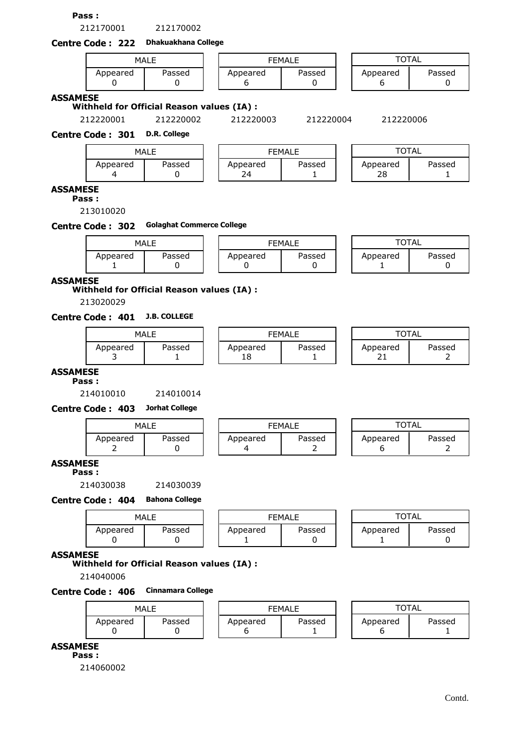**Pass :**

212170001 212170002



| MALE               |  |  |          | <b>FEMALE</b> | TOTAL    |        |
|--------------------|--|--|----------|---------------|----------|--------|
| Passed<br>Appeared |  |  | Appeared | Passed        | Appeared | Passed |

### **ASSAMESE**

**Withheld for Official Reason values (IA) :**

212220001 212220002 212220003 212220004 212220006

**Centre Code : 301 D.R. College**

| MALE     |        |  | <b>FEMALE</b>  |        |  | TOTAL          |        |  |  |
|----------|--------|--|----------------|--------|--|----------------|--------|--|--|
| Appeared | Passed |  | Appeared<br>74 | Passed |  | Appeared<br>28 | Passed |  |  |

## **ASSAMESE**

**Pass :**

213010020

### **Centre Code : 302 Golaghat Commerce College**

| MALE          |        | <b>FEMALE</b> |        |  | <b>TOTAL</b> |        |
|---------------|--------|---------------|--------|--|--------------|--------|
| Appeared<br>- | Passed | Appeared      | Passed |  | Appeared     | Passed |

### **ASSAMESE**

**Withheld for Official Reason values (IA) :**

213020029

# **Centre Code : 401 J.B. COLLEGE**

| MALE     |        |  | <b>FEMALE</b>  |        |  | TOTAL          |             |
|----------|--------|--|----------------|--------|--|----------------|-------------|
| Appeared | Passed |  | Appeared<br>18 | Passed |  | Appeared<br>ᄼᅩ | Passed<br>- |

| FFMAI F  |        |  |  |  |  |  |  |
|----------|--------|--|--|--|--|--|--|
| Appeared | Passed |  |  |  |  |  |  |
|          |        |  |  |  |  |  |  |

| TOTAL    |        |  |  |  |  |  |  |  |  |
|----------|--------|--|--|--|--|--|--|--|--|
| Appeared | Passed |  |  |  |  |  |  |  |  |
|          |        |  |  |  |  |  |  |  |  |

### **ASSAMESE**

**Pass :**

214010010 214010014

**Centre Code : 403 Jorhat College**

| MALE                    |  |  | <b>FEMALE</b> |        |  | <b>OTAL</b>        |  |  |
|-------------------------|--|--|---------------|--------|--|--------------------|--|--|
| Passed<br>Appeared<br>- |  |  | Appeared      | Passed |  | Passed<br>Appeared |  |  |

## **ASSAMESE**

**Pass :**

214030038 214030039

#### **Centre Code : 404 Bahona College**

| MALE     |        | <b>FEMALE</b> |          |        | <b>TOTAL</b> |        |
|----------|--------|---------------|----------|--------|--------------|--------|
| Appeared | Passed |               | Appeared | Passed | Appeared     | Passed |

#### **ASSAMESE**

## **Withheld for Official Reason values (IA) :**

214040006

## **Centre Code : 406 Cinnamara College**

| MALE     |        |  | <b>FFMALF</b> |        |  |          |        |  |
|----------|--------|--|---------------|--------|--|----------|--------|--|
| Appeared | Passed |  | Appeared      | Passed |  | Appeared | Passed |  |

### **ASSAMESE**

**Pass :**

214060002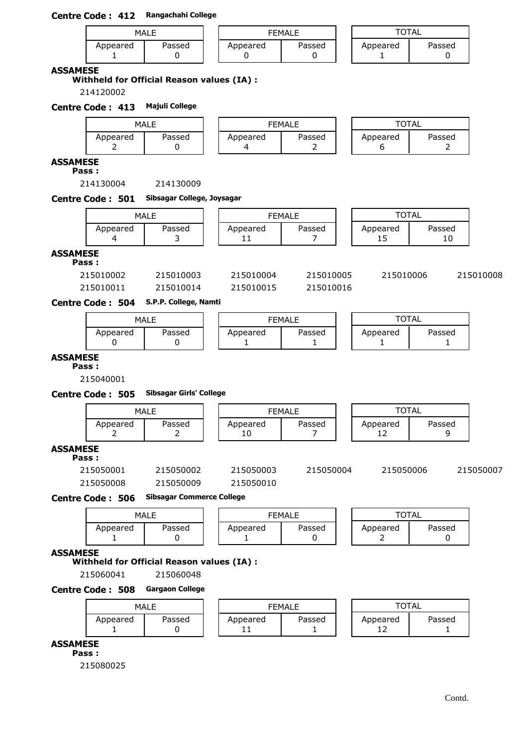## **Centre Code : 412 Rangachahi College**

| MALE     |        |  |          | <b>FEMALE</b> |          | `TAL   |
|----------|--------|--|----------|---------------|----------|--------|
| Appeared | Passed |  | Appeared | Passed        | Appeared | Passed |

### **ASSAMESE**

**Withheld for Official Reason values (IA) :**

214120002

## **Centre Code : 413 Majuli College**

|               | MALE   |          | FEMALE | TOTAL    |        |  |
|---------------|--------|----------|--------|----------|--------|--|
| Appeared<br>- | Passed | Appeared | Passed | Appeared | Passed |  |

#### **ASSAMESE Pass :**

214130004 214130009

**Centre Code : 501 Sibsagar College, Joysagar**

|                          |                  | MALE                  |                | <b>FEMALE</b> | <b>TOTAL</b>   |        |    |           |  |
|--------------------------|------------------|-----------------------|----------------|---------------|----------------|--------|----|-----------|--|
|                          | Appeared         | Passed                | Appeared<br>11 | Passed        | Appeared<br>15 | Passed | 10 |           |  |
| <b>ASSAMESE</b><br>Pass: |                  |                       |                |               |                |        |    |           |  |
|                          | 215010002        | 215010003             | 215010004      | 215010005     | 215010006      |        |    | 215010008 |  |
|                          | 215010011        | 215010014             | 215010015      | 215010016     |                |        |    |           |  |
|                          | Centre Code: 504 | S.P.P. College, Namti |                |               |                |        |    |           |  |

|          | MALE   |          | <b>FEMALE</b> |          | TOTAL  |
|----------|--------|----------|---------------|----------|--------|
| Appeared | Passed | Appeared | Passed        | Appeared | Passed |

## **ASSAMESE**

**Pass :**

215040001

### **Centre Code : 505 Sibsagar Girls' College**

|                          |           | <b>MALE</b> |                | <b>FEMALE</b> |  |                | <b>TOTAL</b> |           |  |  |
|--------------------------|-----------|-------------|----------------|---------------|--|----------------|--------------|-----------|--|--|
|                          | Appeared  | Passed      | Appeared<br>10 | Passed        |  | Appeared<br>12 | Passed       |           |  |  |
| <b>ASSAMESE</b><br>Pass: |           |             |                |               |  |                |              |           |  |  |
|                          | 215050001 | 215050002   | 215050003      | 215050004     |  | 215050006      |              | 215050007 |  |  |
|                          | 215050008 | 215050009   | 215050010      |               |  |                |              |           |  |  |

**Centre Code : 506 Sibsagar Commerce College**

|          | MALE   |          | FEMALE | TOTAL         |        |
|----------|--------|----------|--------|---------------|--------|
| Appeared | Passed | Appeared | Passed | Appeared<br>- | Passed |

#### **ASSAMESE**

#### **Withheld for Official Reason values (IA) :**

215060041 215060048

### **Centre Code : 508 Gargaon College**

| MALE     |        |  |                        | FEMALE | <b>TOTAL</b>          |        |
|----------|--------|--|------------------------|--------|-----------------------|--------|
| Appeared | Passed |  | Appeared<br><b>. .</b> | Passed | Appeared<br>- 1<br>∸∸ | Passed |

**ASSAMESE**

**Pass :**

215080025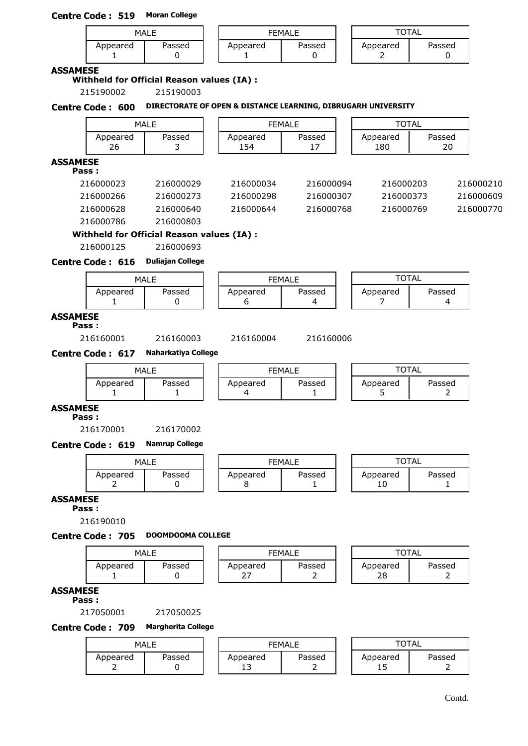## **Centre Code : 519 Moran College**

|          | MALE   |          | FEMALE | TAL           |        |
|----------|--------|----------|--------|---------------|--------|
| Appeared | Passed | Appeared | Passed | Appeared<br>- | Passed |

### **ASSAMESE**

## **Withheld for Official Reason values (IA) :**

215190002 215190003

## **Centre Code : 600 DIRECTORATE OF OPEN & DISTANCE LEARNING, DIBRUGARH UNIVERSITY**

|                 |                         | <b>MALE</b>                                |                 | <b>FEMALE</b>            |  | <b>TOTAL</b>    |                          |           |  |
|-----------------|-------------------------|--------------------------------------------|-----------------|--------------------------|--|-----------------|--------------------------|-----------|--|
|                 | Appeared<br>26          | Passed<br>3                                | Appeared<br>154 | Passed<br>17             |  | Appeared<br>180 | Passed<br>20             |           |  |
| <b>ASSAMESE</b> | Pass:                   |                                            |                 |                          |  |                 |                          |           |  |
|                 | 216000023               | 216000029                                  | 216000034       | 216000094                |  | 216000203       |                          | 216000210 |  |
|                 | 216000266               | 216000273                                  | 216000298       | 216000307                |  | 216000373       |                          | 216000609 |  |
|                 | 216000628               | 216000640                                  | 216000644       | 216000768                |  | 216000769       |                          | 216000770 |  |
|                 | 216000786               | 216000803                                  |                 |                          |  |                 |                          |           |  |
|                 |                         | Withheld for Official Reason values (IA) : |                 |                          |  |                 |                          |           |  |
|                 | 216000125               | 216000693                                  |                 |                          |  |                 |                          |           |  |
|                 | Centre Code: 616        | <b>Duliajan College</b>                    |                 |                          |  |                 |                          |           |  |
|                 |                         | <b>MALE</b>                                |                 | <b>FEMALE</b>            |  | <b>TOTAL</b>    |                          |           |  |
|                 | Appeared<br>1           | Passed<br>0                                | Appeared<br>6   | Passed<br>4              |  | Appeared<br>7   | Passed<br>4              |           |  |
| <b>ASSAMESE</b> | Pass:                   |                                            |                 |                          |  |                 |                          |           |  |
|                 | 216160001               | 216160003                                  | 216160004       | 216160006                |  |                 |                          |           |  |
|                 | <b>Centre Code: 617</b> | <b>Naharkatiya College</b>                 |                 |                          |  |                 |                          |           |  |
|                 |                         | <b>MALE</b>                                |                 | <b>FEMALE</b>            |  |                 | <b>TOTAL</b>             |           |  |
|                 | Appeared<br>1           | Passed<br>1                                | Appeared<br>4   | Passed<br>1              |  | Appeared<br>5   | Passed<br>2              |           |  |
| <b>ASSAMESE</b> | Pass:                   |                                            |                 |                          |  |                 |                          |           |  |
|                 | 216170001               | 216170002                                  |                 |                          |  |                 |                          |           |  |
|                 | Centre Code: 619        | <b>Namrup College</b>                      |                 |                          |  |                 |                          |           |  |
|                 |                         | <b>MALE</b>                                |                 | <b>FEMALE</b>            |  | <b>TOTAL</b>    |                          |           |  |
|                 | Appeared<br>2           | Passed<br>0                                | Appeared<br>8   | Passed<br>1              |  | Appeared<br>10  | Passed<br>1              |           |  |
| <b>ASSAMESE</b> | Pass:                   |                                            |                 |                          |  |                 |                          |           |  |
|                 | 216190010               | <b>DOOMDOOMA COLLEGE</b>                   |                 |                          |  |                 |                          |           |  |
|                 | Centre Code: 705        |                                            |                 |                          |  |                 |                          |           |  |
|                 |                         | <b>MALE</b>                                |                 | <b>FEMALE</b>            |  | <b>TOTAL</b>    |                          |           |  |
|                 | Appeared<br>1           | Passed<br>0                                | Appeared<br>27  | Passed<br>2              |  | Appeared<br>28  | Passed<br>2              |           |  |
| <b>ASSAMESE</b> | Pass:                   |                                            |                 |                          |  |                 |                          |           |  |
|                 | 217050001               | 217050025                                  |                 |                          |  |                 |                          |           |  |
|                 | <b>Centre Code: 709</b> | <b>Margherita College</b>                  |                 |                          |  |                 |                          |           |  |
|                 |                         | <b>MALE</b>                                |                 | <b>FEMALE</b>            |  | <b>TOTAL</b>    |                          |           |  |
|                 | Appeared<br>2           | Passed<br>0                                | Appeared<br>13  | Passed<br>$\overline{2}$ |  | Appeared<br>15  | Passed<br>$\overline{2}$ |           |  |